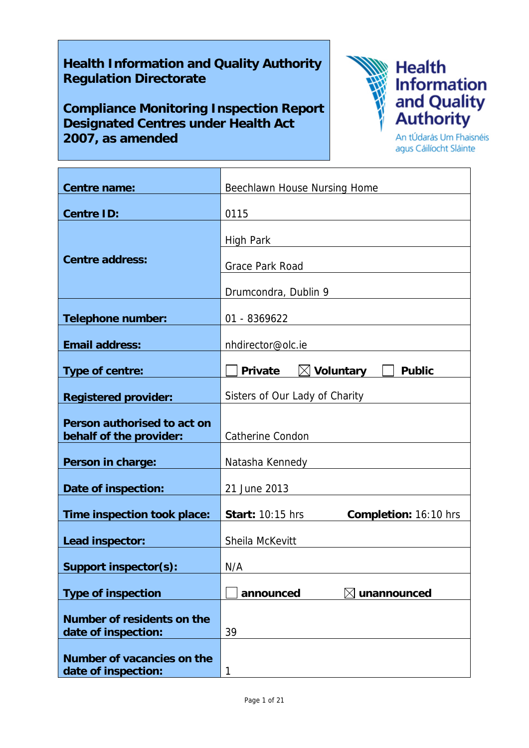# **Health Information and Quality Authority Regulation Directorate**

**Compliance Monitoring Inspection Report Designated Centres under Health Act 2007, as amended**



An tÚdarás Um Fhaisnéis agus Cáilíocht Sláinte

| <b>Centre name:</b>                                    | Beechlawn House Nursing Home                                       |
|--------------------------------------------------------|--------------------------------------------------------------------|
| <b>Centre ID:</b>                                      | 0115                                                               |
| <b>Centre address:</b>                                 | <b>High Park</b><br><b>Grace Park Road</b><br>Drumcondra, Dublin 9 |
| <b>Telephone number:</b>                               | 01 - 8369622                                                       |
| <b>Email address:</b>                                  | nhdirector@olc.ie                                                  |
| Type of centre:                                        | $\boxtimes$ Voluntary<br>Private<br><b>Public</b>                  |
| <b>Registered provider:</b>                            | Sisters of Our Lady of Charity                                     |
| Person authorised to act on<br>behalf of the provider: | <b>Catherine Condon</b>                                            |
| Person in charge:                                      | Natasha Kennedy                                                    |
| Date of inspection:                                    | 21 June 2013                                                       |
| Time inspection took place:                            | <b>Start: 10:15 hrs</b><br>Completion: 16:10 hrs                   |
| Lead inspector:                                        | Sheila McKevitt                                                    |
| <b>Support inspector(s):</b>                           | N/A                                                                |
| <b>Type of inspection</b>                              | announced<br>unannounced                                           |
| Number of residents on the<br>date of inspection:      | 39                                                                 |
| Number of vacancies on the<br>date of inspection:      | $\mathbf{1}$                                                       |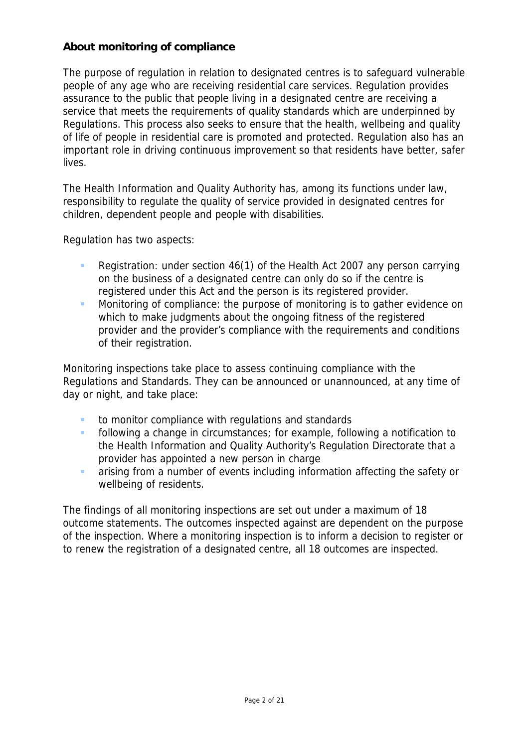# **About monitoring of compliance**

The purpose of regulation in relation to designated centres is to safeguard vulnerable people of any age who are receiving residential care services. Regulation provides assurance to the public that people living in a designated centre are receiving a service that meets the requirements of quality standards which are underpinned by Regulations. This process also seeks to ensure that the health, wellbeing and quality of life of people in residential care is promoted and protected. Regulation also has an important role in driving continuous improvement so that residents have better, safer lives.

The Health Information and Quality Authority has, among its functions under law, responsibility to regulate the quality of service provided in designated centres for children, dependent people and people with disabilities.

Regulation has two aspects:

- Registration: under section 46(1) of the Health Act 2007 any person carrying on the business of a designated centre can only do so if the centre is registered under this Act and the person is its registered provider.
- **Monitoring of compliance: the purpose of monitoring is to gather evidence on** which to make judgments about the ongoing fitness of the registered provider and the provider's compliance with the requirements and conditions of their registration.

Monitoring inspections take place to assess continuing compliance with the Regulations and Standards. They can be announced or unannounced, at any time of day or night, and take place:

- **to monitor compliance with regulations and standards**
- **F** following a change in circumstances; for example, following a notification to the Health Information and Quality Authority's Regulation Directorate that a provider has appointed a new person in charge
- arising from a number of events including information affecting the safety or wellbeing of residents.

The findings of all monitoring inspections are set out under a maximum of 18 outcome statements. The outcomes inspected against are dependent on the purpose of the inspection. Where a monitoring inspection is to inform a decision to register or to renew the registration of a designated centre, all 18 outcomes are inspected.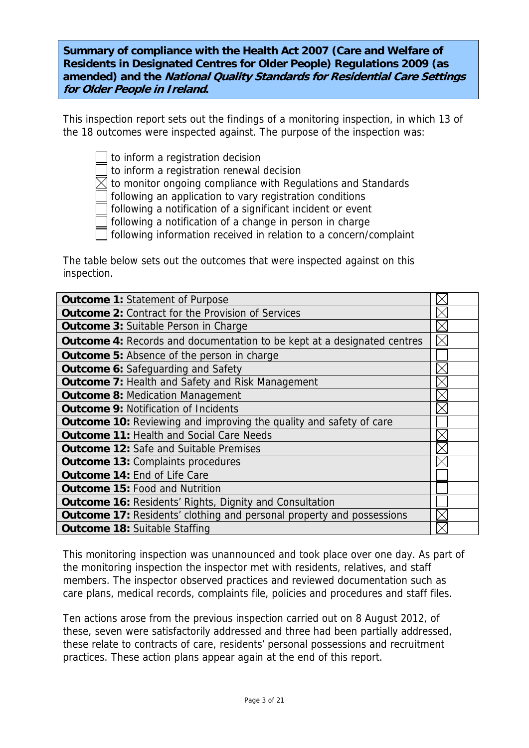**Summary of compliance with the Health Act 2007 (Care and Welfare of Residents in Designated Centres for Older People) Regulations 2009 (as amended) and the National Quality Standards for Residential Care Settings for Older People in Ireland.**

This inspection report sets out the findings of a monitoring inspection, in which 13 of the 18 outcomes were inspected against. The purpose of the inspection was:

- to inform a registration decision
- to inform a registration renewal decision
- $\boxtimes$  to monitor ongoing compliance with Regulations and Standards
- following an application to vary registration conditions
- following a notification of a significant incident or event
- following a notification of a change in person in charge
- following information received in relation to a concern/complaint

The table below sets out the outcomes that were inspected against on this inspection.

| <b>Outcome 1: Statement of Purpose</b>                                         |  |
|--------------------------------------------------------------------------------|--|
| <b>Outcome 2: Contract for the Provision of Services</b>                       |  |
| <b>Outcome 3: Suitable Person in Charge</b>                                    |  |
| <b>Outcome 4:</b> Records and documentation to be kept at a designated centres |  |
| <b>Outcome 5: Absence of the person in charge</b>                              |  |
| <b>Outcome 6: Safeguarding and Safety</b>                                      |  |
| <b>Outcome 7: Health and Safety and Risk Management</b>                        |  |
| <b>Outcome 8: Medication Management</b>                                        |  |
| <b>Outcome 9: Notification of Incidents</b>                                    |  |
| <b>Outcome 10:</b> Reviewing and improving the quality and safety of care      |  |
| <b>Outcome 11: Health and Social Care Needs</b>                                |  |
| <b>Outcome 12:</b> Safe and Suitable Premises                                  |  |
| <b>Outcome 13: Complaints procedures</b>                                       |  |
| <b>Outcome 14: End of Life Care</b>                                            |  |
| <b>Outcome 15: Food and Nutrition</b>                                          |  |
| <b>Outcome 16: Residents' Rights, Dignity and Consultation</b>                 |  |
| <b>Outcome 17: Residents' clothing and personal property and possessions</b>   |  |
| <b>Outcome 18: Suitable Staffing</b>                                           |  |

This monitoring inspection was unannounced and took place over one day. As part of the monitoring inspection the inspector met with residents, relatives, and staff members. The inspector observed practices and reviewed documentation such as care plans, medical records, complaints file, policies and procedures and staff files.

Ten actions arose from the previous inspection carried out on 8 August 2012, of these, seven were satisfactorily addressed and three had been partially addressed, these relate to contracts of care, residents' personal possessions and recruitment practices. These action plans appear again at the end of this report.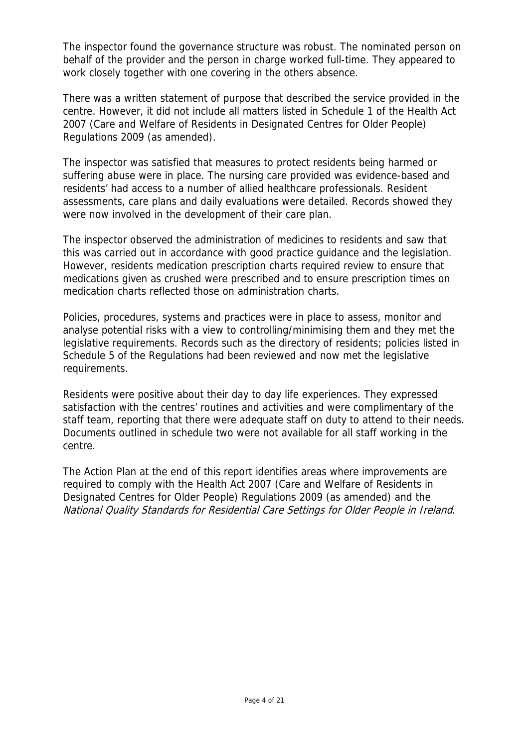The inspector found the governance structure was robust. The nominated person on behalf of the provider and the person in charge worked full-time. They appeared to work closely together with one covering in the others absence.

There was a written statement of purpose that described the service provided in the centre. However, it did not include all matters listed in Schedule 1 of the Health Act 2007 (Care and Welfare of Residents in Designated Centres for Older People) Regulations 2009 (as amended).

The inspector was satisfied that measures to protect residents being harmed or suffering abuse were in place. The nursing care provided was evidence-based and residents' had access to a number of allied healthcare professionals. Resident assessments, care plans and daily evaluations were detailed. Records showed they were now involved in the development of their care plan.

The inspector observed the administration of medicines to residents and saw that this was carried out in accordance with good practice guidance and the legislation. However, residents medication prescription charts required review to ensure that medications given as crushed were prescribed and to ensure prescription times on medication charts reflected those on administration charts.

Policies, procedures, systems and practices were in place to assess, monitor and analyse potential risks with a view to controlling/minimising them and they met the legislative requirements. Records such as the directory of residents; policies listed in Schedule 5 of the Regulations had been reviewed and now met the legislative requirements.

Residents were positive about their day to day life experiences. They expressed satisfaction with the centres' routines and activities and were complimentary of the staff team, reporting that there were adequate staff on duty to attend to their needs. Documents outlined in schedule two were not available for all staff working in the centre.

The Action Plan at the end of this report identifies areas where improvements are required to comply with the Health Act 2007 (Care and Welfare of Residents in Designated Centres for Older People) Regulations 2009 (as amended) and the National Quality Standards for Residential Care Settings for Older People in Ireland.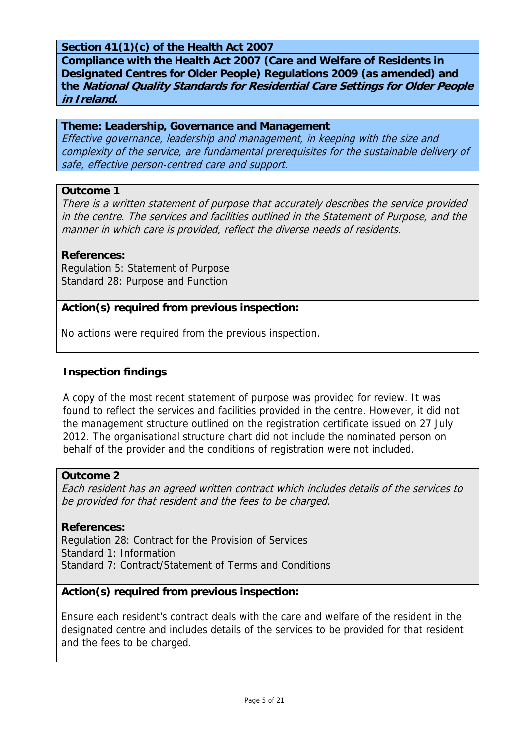# **Section 41(1)(c) of the Health Act 2007**

**Compliance with the Health Act 2007 (Care and Welfare of Residents in Designated Centres for Older People) Regulations 2009 (as amended) and the National Quality Standards for Residential Care Settings for Older People in Ireland.** 

#### **Theme: Leadership, Governance and Management**

Effective governance, leadership and management, in keeping with the size and complexity of the service, are fundamental prerequisites for the sustainable delivery of safe, effective person-centred care and support.

#### **Outcome 1**

There is a written statement of purpose that accurately describes the service provided in the centre. The services and facilities outlined in the Statement of Purpose, and the manner in which care is provided, reflect the diverse needs of residents.

#### **References:**

Regulation 5: Statement of Purpose Standard 28: Purpose and Function

#### **Action(s) required from previous inspection:**

No actions were required from the previous inspection.

#### **Inspection findings**

A copy of the most recent statement of purpose was provided for review. It was found to reflect the services and facilities provided in the centre. However, it did not the management structure outlined on the registration certificate issued on 27 July 2012. The organisational structure chart did not include the nominated person on behalf of the provider and the conditions of registration were not included.

#### **Outcome 2**

Each resident has an agreed written contract which includes details of the services to be provided for that resident and the fees to be charged.

#### **References:**

Regulation 28: Contract for the Provision of Services Standard 1: Information Standard 7: Contract/Statement of Terms and Conditions

#### **Action(s) required from previous inspection:**

Ensure each resident's contract deals with the care and welfare of the resident in the designated centre and includes details of the services to be provided for that resident and the fees to be charged.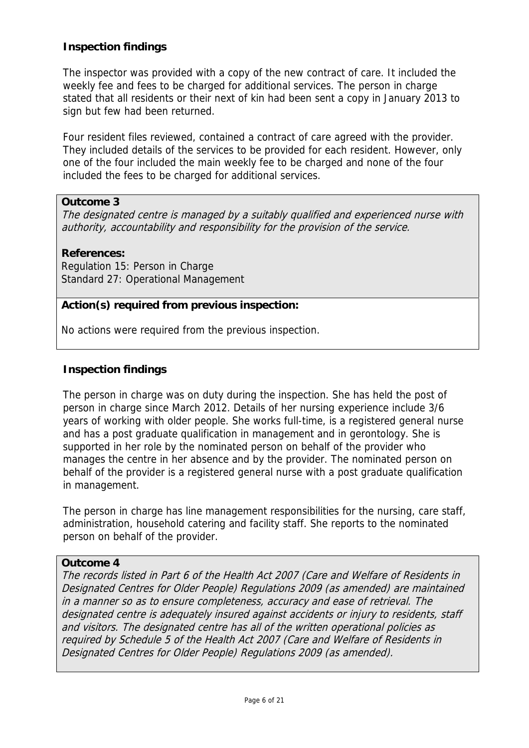The inspector was provided with a copy of the new contract of care. It included the weekly fee and fees to be charged for additional services. The person in charge stated that all residents or their next of kin had been sent a copy in January 2013 to sign but few had been returned.

Four resident files reviewed, contained a contract of care agreed with the provider. They included details of the services to be provided for each resident. However, only one of the four included the main weekly fee to be charged and none of the four included the fees to be charged for additional services.

# **Outcome 3**

The designated centre is managed by a suitably qualified and experienced nurse with authority, accountability and responsibility for the provision of the service.

# **References:**

Regulation 15: Person in Charge Standard 27: Operational Management

# **Action(s) required from previous inspection:**

No actions were required from the previous inspection.

# **Inspection findings**

The person in charge was on duty during the inspection. She has held the post of person in charge since March 2012. Details of her nursing experience include 3/6 years of working with older people. She works full-time, is a registered general nurse and has a post graduate qualification in management and in gerontology. She is supported in her role by the nominated person on behalf of the provider who manages the centre in her absence and by the provider. The nominated person on behalf of the provider is a registered general nurse with a post graduate qualification in management.

The person in charge has line management responsibilities for the nursing, care staff, administration, household catering and facility staff. She reports to the nominated person on behalf of the provider.

#### **Outcome 4**

The records listed in Part 6 of the Health Act 2007 (Care and Welfare of Residents in Designated Centres for Older People) Regulations 2009 (as amended) are maintained in a manner so as to ensure completeness, accuracy and ease of retrieval. The designated centre is adequately insured against accidents or injury to residents, staff and visitors. The designated centre has all of the written operational policies as required by Schedule 5 of the Health Act 2007 (Care and Welfare of Residents in Designated Centres for Older People) Regulations 2009 (as amended).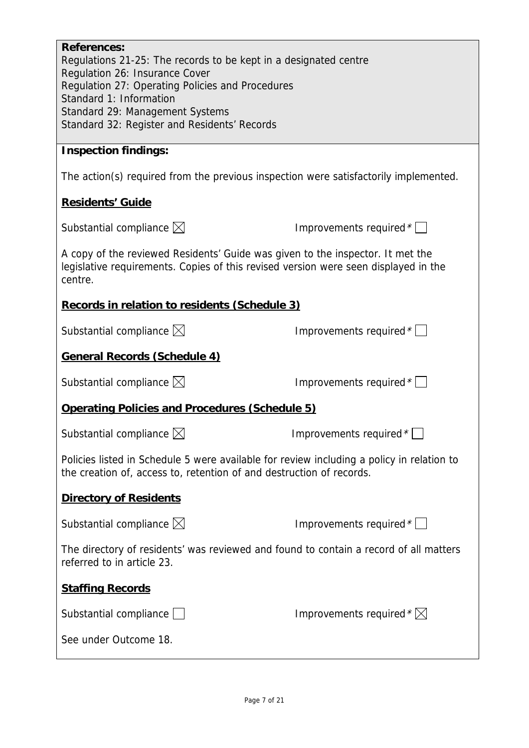| <b>References:</b><br>Regulations 21-25: The records to be kept in a designated centre<br>Regulation 26: Insurance Cover<br>Regulation 27: Operating Policies and Procedures<br>Standard 1: Information<br>Standard 29: Management Systems<br>Standard 32: Register and Residents' Records |                                    |  |
|--------------------------------------------------------------------------------------------------------------------------------------------------------------------------------------------------------------------------------------------------------------------------------------------|------------------------------------|--|
| <b>Inspection findings:</b>                                                                                                                                                                                                                                                                |                                    |  |
| The action(s) required from the previous inspection were satisfactorily implemented.                                                                                                                                                                                                       |                                    |  |
| <b>Residents' Guide</b>                                                                                                                                                                                                                                                                    |                                    |  |
| Substantial compliance $\boxtimes$                                                                                                                                                                                                                                                         | Improvements required $*$          |  |
| A copy of the reviewed Residents' Guide was given to the inspector. It met the<br>legislative requirements. Copies of this revised version were seen displayed in the<br>centre.                                                                                                           |                                    |  |
| Records in relation to residents (Schedule 3)                                                                                                                                                                                                                                              |                                    |  |
| Substantial compliance $\boxtimes$                                                                                                                                                                                                                                                         | Improvements required $*$          |  |
| <b>General Records (Schedule 4)</b>                                                                                                                                                                                                                                                        |                                    |  |
| Substantial compliance $\boxtimes$                                                                                                                                                                                                                                                         | Improvements required *            |  |
| Operating Policies and Procedures (Schedule 5)                                                                                                                                                                                                                                             |                                    |  |
| Substantial compliance $\boxtimes$                                                                                                                                                                                                                                                         | Improvements required $*$          |  |
| Policies listed in Schedule 5 were available for review including a policy in relation to<br>the creation of, access to, retention of and destruction of records.                                                                                                                          |                                    |  |
| <b>Directory of Residents</b>                                                                                                                                                                                                                                                              |                                    |  |
| Substantial compliance $\boxtimes$                                                                                                                                                                                                                                                         | Improvements required $*$          |  |
| The directory of residents' was reviewed and found to contain a record of all matters<br>referred to in article 23.                                                                                                                                                                        |                                    |  |
| <b>Staffing Records</b>                                                                                                                                                                                                                                                                    |                                    |  |
| Substantial compliance $\Box$                                                                                                                                                                                                                                                              | Improvements required $*\boxtimes$ |  |
| See under Outcome 18.                                                                                                                                                                                                                                                                      |                                    |  |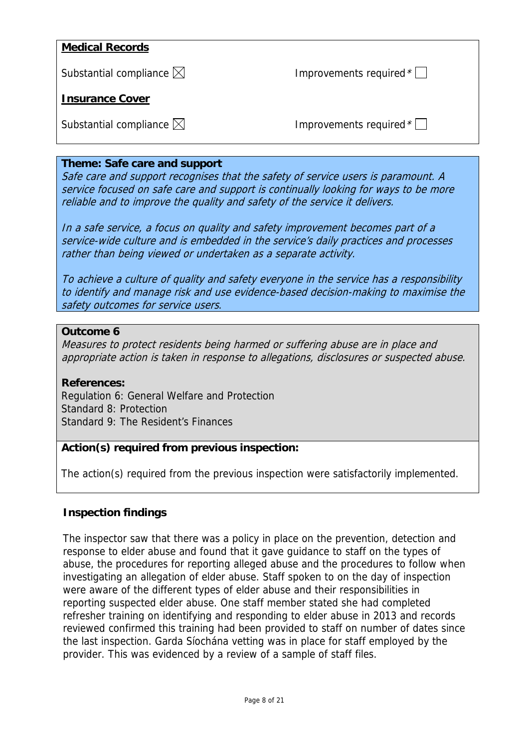# **Medical Records** Substantial compliance  $\boxtimes$  **Improvements required**  $^{\star}\Box$ **Insurance Cover** Substantial compliance  $\boxtimes$  improvements required  $^*$

#### **Theme: Safe care and support**

Safe care and support recognises that the safety of service users is paramount. A service focused on safe care and support is continually looking for ways to be more reliable and to improve the quality and safety of the service it delivers.

In a safe service, a focus on quality and safety improvement becomes part of a service-wide culture and is embedded in the service's daily practices and processes rather than being viewed or undertaken as a separate activity.

To achieve a culture of quality and safety everyone in the service has a responsibility to identify and manage risk and use evidence-based decision-making to maximise the safety outcomes for service users.

#### **Outcome 6**

Measures to protect residents being harmed or suffering abuse are in place and appropriate action is taken in response to allegations, disclosures or suspected abuse.

#### **References:**

Regulation 6: General Welfare and Protection Standard 8: Protection Standard 9: The Resident's Finances

#### **Action(s) required from previous inspection:**

The action(s) required from the previous inspection were satisfactorily implemented.

#### **Inspection findings**

The inspector saw that there was a policy in place on the prevention, detection and response to elder abuse and found that it gave guidance to staff on the types of abuse, the procedures for reporting alleged abuse and the procedures to follow when investigating an allegation of elder abuse. Staff spoken to on the day of inspection were aware of the different types of elder abuse and their responsibilities in reporting suspected elder abuse. One staff member stated she had completed refresher training on identifying and responding to elder abuse in 2013 and records reviewed confirmed this training had been provided to staff on number of dates since the last inspection. Garda Síochána vetting was in place for staff employed by the provider. This was evidenced by a review of a sample of staff files.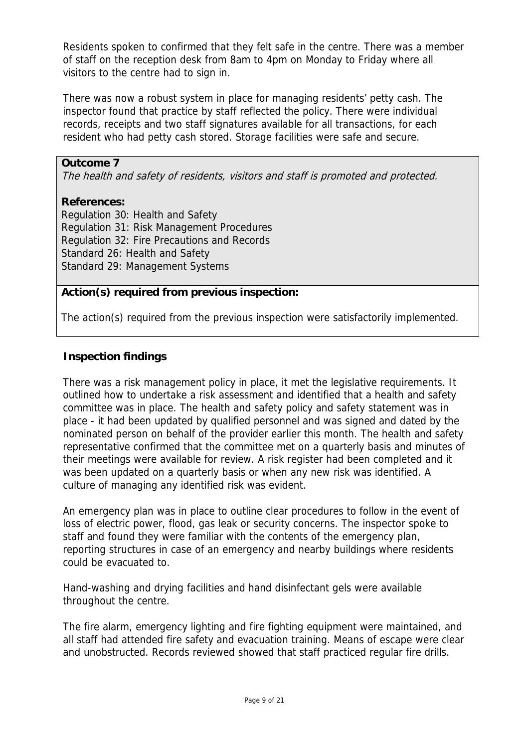Residents spoken to confirmed that they felt safe in the centre. There was a member of staff on the reception desk from 8am to 4pm on Monday to Friday where all visitors to the centre had to sign in.

There was now a robust system in place for managing residents' petty cash. The inspector found that practice by staff reflected the policy. There were individual records, receipts and two staff signatures available for all transactions, for each resident who had petty cash stored. Storage facilities were safe and secure.

# **Outcome 7**

The health and safety of residents, visitors and staff is promoted and protected.

#### **References:**

Regulation 30: Health and Safety Regulation 31: Risk Management Procedures Regulation 32: Fire Precautions and Records Standard 26: Health and Safety Standard 29: Management Systems

# **Action(s) required from previous inspection:**

The action(s) required from the previous inspection were satisfactorily implemented.

# **Inspection findings**

There was a risk management policy in place, it met the legislative requirements. It outlined how to undertake a risk assessment and identified that a health and safety committee was in place. The health and safety policy and safety statement was in place - it had been updated by qualified personnel and was signed and dated by the nominated person on behalf of the provider earlier this month. The health and safety representative confirmed that the committee met on a quarterly basis and minutes of their meetings were available for review. A risk register had been completed and it was been updated on a quarterly basis or when any new risk was identified. A culture of managing any identified risk was evident.

An emergency plan was in place to outline clear procedures to follow in the event of loss of electric power, flood, gas leak or security concerns. The inspector spoke to staff and found they were familiar with the contents of the emergency plan, reporting structures in case of an emergency and nearby buildings where residents could be evacuated to.

Hand-washing and drying facilities and hand disinfectant gels were available throughout the centre.

The fire alarm, emergency lighting and fire fighting equipment were maintained, and all staff had attended fire safety and evacuation training. Means of escape were clear and unobstructed. Records reviewed showed that staff practiced regular fire drills.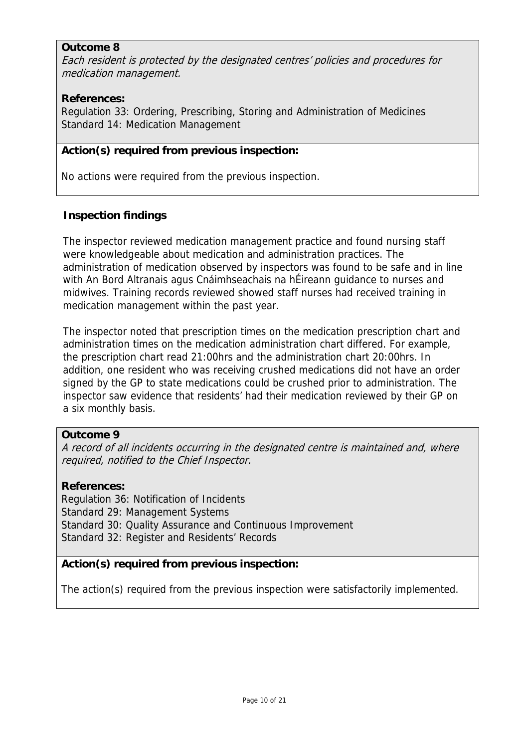# **Outcome 8**

Each resident is protected by the designated centres' policies and procedures for medication management.

# **References:**

Regulation 33: Ordering, Prescribing, Storing and Administration of Medicines Standard 14: Medication Management

# **Action(s) required from previous inspection:**

No actions were required from the previous inspection.

# **Inspection findings**

The inspector reviewed medication management practice and found nursing staff were knowledgeable about medication and administration practices. The administration of medication observed by inspectors was found to be safe and in line with An Bord Altranais agus Cnáimhseachais na hÉireann guidance to nurses and midwives. Training records reviewed showed staff nurses had received training in medication management within the past year.

The inspector noted that prescription times on the medication prescription chart and administration times on the medication administration chart differed. For example, the prescription chart read 21:00hrs and the administration chart 20:00hrs. In addition, one resident who was receiving crushed medications did not have an order signed by the GP to state medications could be crushed prior to administration. The inspector saw evidence that residents' had their medication reviewed by their GP on a six monthly basis.

#### **Outcome 9**

A record of all incidents occurring in the designated centre is maintained and, where required, notified to the Chief Inspector.

#### **References:**

Regulation 36: Notification of Incidents Standard 29: Management Systems Standard 30: Quality Assurance and Continuous Improvement Standard 32: Register and Residents' Records

# **Action(s) required from previous inspection:**

The action(s) required from the previous inspection were satisfactorily implemented.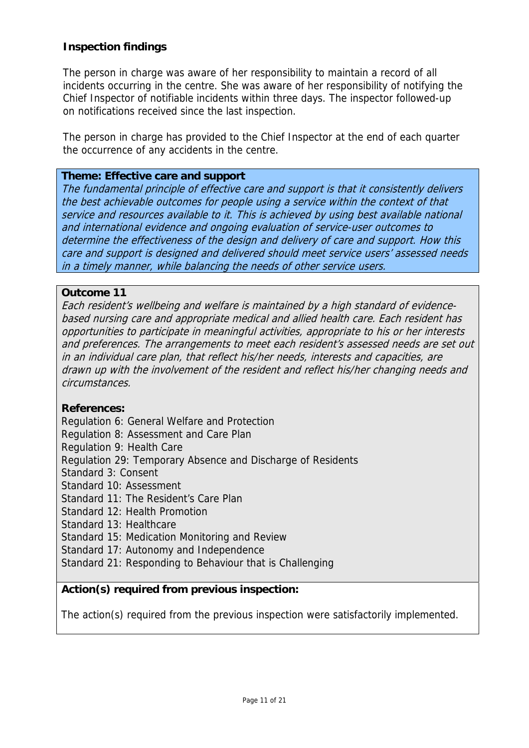The person in charge was aware of her responsibility to maintain a record of all incidents occurring in the centre. She was aware of her responsibility of notifying the Chief Inspector of notifiable incidents within three days. The inspector followed-up on notifications received since the last inspection.

The person in charge has provided to the Chief Inspector at the end of each quarter the occurrence of any accidents in the centre.

#### **Theme: Effective care and support**

The fundamental principle of effective care and support is that it consistently delivers the best achievable outcomes for people using a service within the context of that service and resources available to it. This is achieved by using best available national and international evidence and ongoing evaluation of service-user outcomes to determine the effectiveness of the design and delivery of care and support. How this care and support is designed and delivered should meet service users' assessed needs in a timely manner, while balancing the needs of other service users.

#### **Outcome 11**

Each resident's wellbeing and welfare is maintained by a high standard of evidencebased nursing care and appropriate medical and allied health care. Each resident has opportunities to participate in meaningful activities, appropriate to his or her interests and preferences. The arrangements to meet each resident's assessed needs are set out in an individual care plan, that reflect his/her needs, interests and capacities, are drawn up with the involvement of the resident and reflect his/her changing needs and circumstances.

#### **References:**

Regulation 6: General Welfare and Protection

Regulation 8: Assessment and Care Plan

Regulation 9: Health Care

Regulation 29: Temporary Absence and Discharge of Residents

Standard 3: Consent

Standard 10: Assessment

Standard 11: The Resident's Care Plan

Standard 12: Health Promotion

Standard 13: Healthcare

Standard 15: Medication Monitoring and Review

Standard 17: Autonomy and Independence

Standard 21: Responding to Behaviour that is Challenging

#### **Action(s) required from previous inspection:**

The action(s) required from the previous inspection were satisfactorily implemented.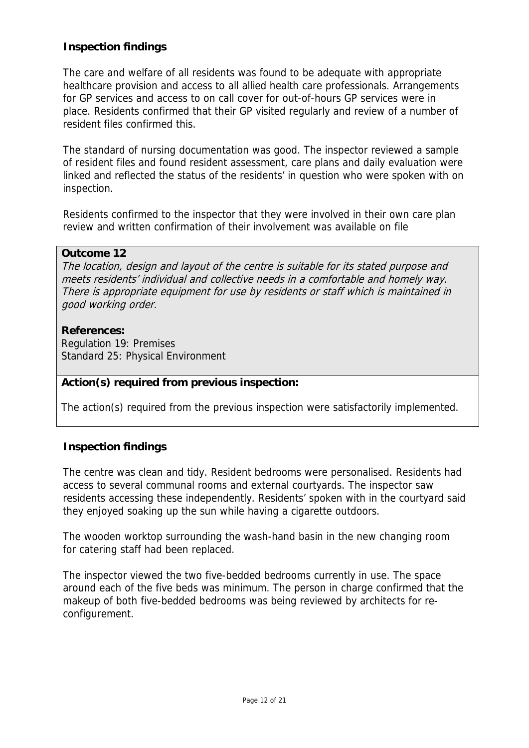The care and welfare of all residents was found to be adequate with appropriate healthcare provision and access to all allied health care professionals. Arrangements for GP services and access to on call cover for out-of-hours GP services were in place. Residents confirmed that their GP visited regularly and review of a number of resident files confirmed this.

The standard of nursing documentation was good. The inspector reviewed a sample of resident files and found resident assessment, care plans and daily evaluation were linked and reflected the status of the residents' in question who were spoken with on inspection.

Residents confirmed to the inspector that they were involved in their own care plan review and written confirmation of their involvement was available on file

#### **Outcome 12**

The location, design and layout of the centre is suitable for its stated purpose and meets residents' individual and collective needs in a comfortable and homely way. There is appropriate equipment for use by residents or staff which is maintained in good working order.

#### **References:**

Regulation 19: Premises Standard 25: Physical Environment

# **Action(s) required from previous inspection:**

The action(s) required from the previous inspection were satisfactorily implemented.

# **Inspection findings**

The centre was clean and tidy. Resident bedrooms were personalised. Residents had access to several communal rooms and external courtyards. The inspector saw residents accessing these independently. Residents' spoken with in the courtyard said they enjoyed soaking up the sun while having a cigarette outdoors.

The wooden worktop surrounding the wash-hand basin in the new changing room for catering staff had been replaced.

The inspector viewed the two five-bedded bedrooms currently in use. The space around each of the five beds was minimum. The person in charge confirmed that the makeup of both five-bedded bedrooms was being reviewed by architects for reconfigurement.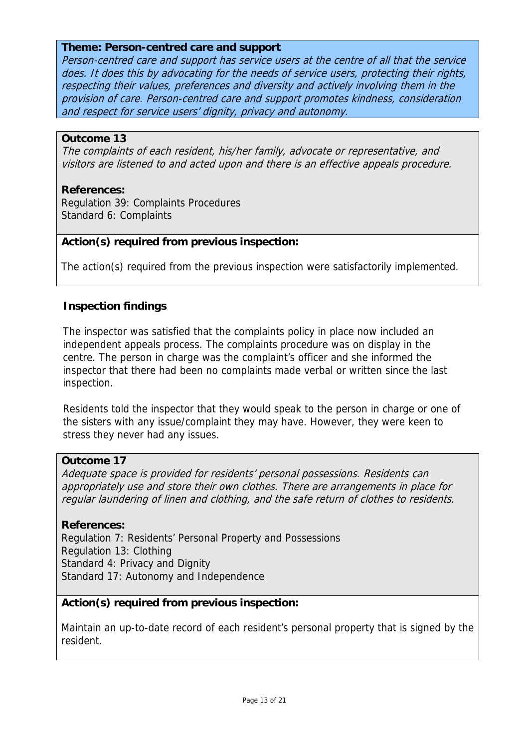#### **Theme: Person-centred care and support**

Person-centred care and support has service users at the centre of all that the service does. It does this by advocating for the needs of service users, protecting their rights, respecting their values, preferences and diversity and actively involving them in the provision of care. Person-centred care and support promotes kindness, consideration and respect for service users' dignity, privacy and autonomy.

# **Outcome 13**

The complaints of each resident, his/her family, advocate or representative, and visitors are listened to and acted upon and there is an effective appeals procedure.

#### **References:**

Regulation 39: Complaints Procedures Standard 6: Complaints

#### **Action(s) required from previous inspection:**

The action(s) required from the previous inspection were satisfactorily implemented.

#### **Inspection findings**

The inspector was satisfied that the complaints policy in place now included an independent appeals process. The complaints procedure was on display in the centre. The person in charge was the complaint's officer and she informed the inspector that there had been no complaints made verbal or written since the last inspection.

Residents told the inspector that they would speak to the person in charge or one of the sisters with any issue/complaint they may have. However, they were keen to stress they never had any issues.

#### **Outcome 17**

Adequate space is provided for residents' personal possessions. Residents can appropriately use and store their own clothes. There are arrangements in place for regular laundering of linen and clothing, and the safe return of clothes to residents.

#### **References:**

Regulation 7: Residents' Personal Property and Possessions Regulation 13: Clothing Standard 4: Privacy and Dignity Standard 17: Autonomy and Independence

# **Action(s) required from previous inspection:**

Maintain an up-to-date record of each resident's personal property that is signed by the resident.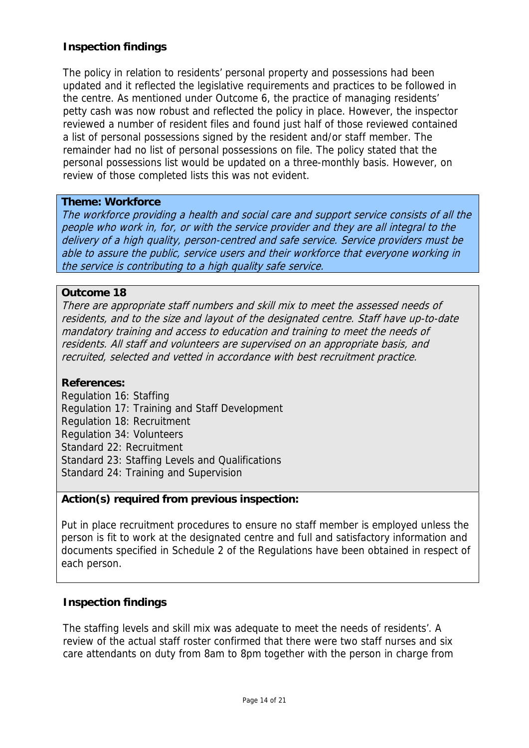The policy in relation to residents' personal property and possessions had been updated and it reflected the legislative requirements and practices to be followed in the centre. As mentioned under Outcome 6, the practice of managing residents' petty cash was now robust and reflected the policy in place. However, the inspector reviewed a number of resident files and found just half of those reviewed contained a list of personal possessions signed by the resident and/or staff member. The remainder had no list of personal possessions on file. The policy stated that the personal possessions list would be updated on a three-monthly basis. However, on review of those completed lists this was not evident.

#### **Theme: Workforce**

The workforce providing a health and social care and support service consists of all the people who work in, for, or with the service provider and they are all integral to the delivery of a high quality, person-centred and safe service. Service providers must be able to assure the public, service users and their workforce that everyone working in the service is contributing to a high quality safe service.

#### **Outcome 18**

There are appropriate staff numbers and skill mix to meet the assessed needs of residents, and to the size and layout of the designated centre. Staff have up-to-date mandatory training and access to education and training to meet the needs of residents. All staff and volunteers are supervised on an appropriate basis, and recruited, selected and vetted in accordance with best recruitment practice.

#### **References:**

Regulation 16: Staffing Regulation 17: Training and Staff Development Regulation 18: Recruitment Regulation 34: Volunteers Standard 22: Recruitment Standard 23: Staffing Levels and Qualifications Standard 24: Training and Supervision

#### **Action(s) required from previous inspection:**

Put in place recruitment procedures to ensure no staff member is employed unless the person is fit to work at the designated centre and full and satisfactory information and documents specified in Schedule 2 of the Regulations have been obtained in respect of each person.

#### **Inspection findings**

The staffing levels and skill mix was adequate to meet the needs of residents'. A review of the actual staff roster confirmed that there were two staff nurses and six care attendants on duty from 8am to 8pm together with the person in charge from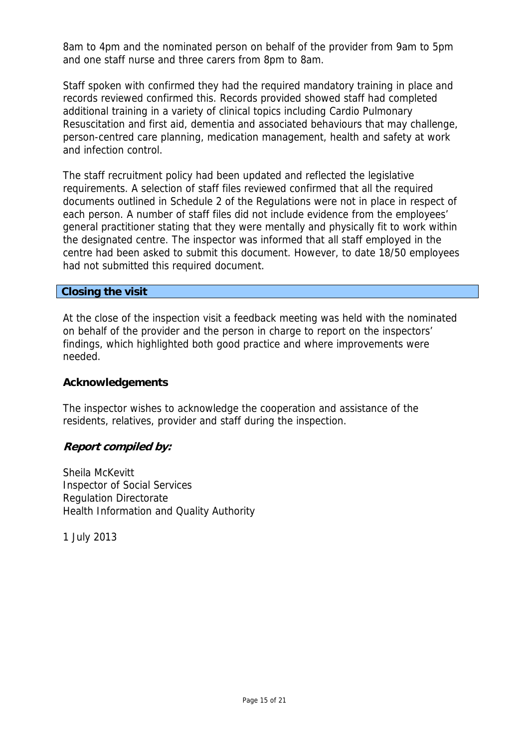8am to 4pm and the nominated person on behalf of the provider from 9am to 5pm and one staff nurse and three carers from 8pm to 8am.

Staff spoken with confirmed they had the required mandatory training in place and records reviewed confirmed this. Records provided showed staff had completed additional training in a variety of clinical topics including Cardio Pulmonary Resuscitation and first aid, dementia and associated behaviours that may challenge, person-centred care planning, medication management, health and safety at work and infection control.

The staff recruitment policy had been updated and reflected the legislative requirements. A selection of staff files reviewed confirmed that all the required documents outlined in Schedule 2 of the Regulations were not in place in respect of each person. A number of staff files did not include evidence from the employees' general practitioner stating that they were mentally and physically fit to work within the designated centre. The inspector was informed that all staff employed in the centre had been asked to submit this document. However, to date 18/50 employees had not submitted this required document.

# **Closing the visit**

At the close of the inspection visit a feedback meeting was held with the nominated on behalf of the provider and the person in charge to report on the inspectors' findings, which highlighted both good practice and where improvements were needed.

#### **Acknowledgements**

The inspector wishes to acknowledge the cooperation and assistance of the residents, relatives, provider and staff during the inspection.

# **Report compiled by:**

Sheila McKevitt Inspector of Social Services Regulation Directorate Health Information and Quality Authority

1 July 2013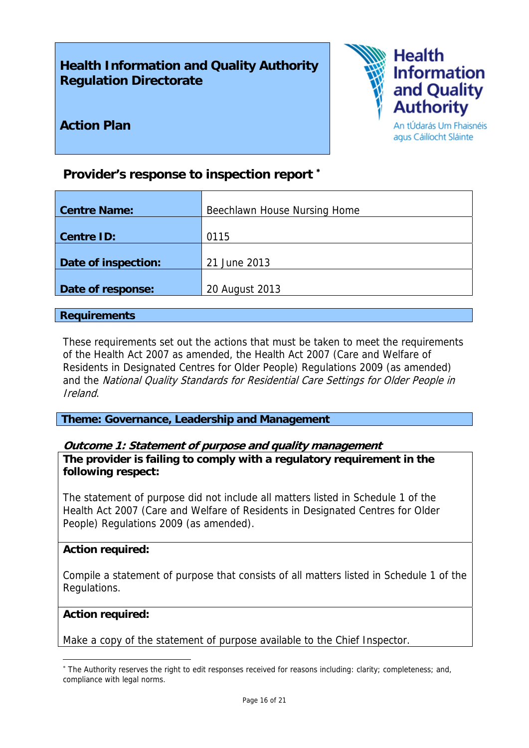# **Health Information and Quality Authority Regulation Directorate**



**Action Plan** 

#### An tÚdarás Um Fhaisnéis agus Cáilíocht Sláinte

# **Provider's response to inspection report** <sup>∗</sup>

| <b>Centre Name:</b> | Beechlawn House Nursing Home |
|---------------------|------------------------------|
|                     |                              |
| <b>Centre ID:</b>   | 0115                         |
| Date of inspection: | 21 June 2013                 |
| Date of response:   | 20 August 2013               |

# **Requirements**

These requirements set out the actions that must be taken to meet the requirements of the Health Act 2007 as amended, the Health Act 2007 (Care and Welfare of Residents in Designated Centres for Older People) Regulations 2009 (as amended) and the National Quality Standards for Residential Care Settings for Older People in Ireland.

**Theme: Governance, Leadership and Management** 

# **Outcome 1: Statement of purpose and quality management**

**The provider is failing to comply with a regulatory requirement in the following respect:**

The statement of purpose did not include all matters listed in Schedule 1 of the Health Act 2007 (Care and Welfare of Residents in Designated Centres for Older People) Regulations 2009 (as amended).

#### **Action required:**

Compile a statement of purpose that consists of all matters listed in Schedule 1 of the Regulations.

# **Action required:**

<u>.</u>

Make a copy of the statement of purpose available to the Chief Inspector.

<sup>∗</sup> The Authority reserves the right to edit responses received for reasons including: clarity; completeness; and, compliance with legal norms.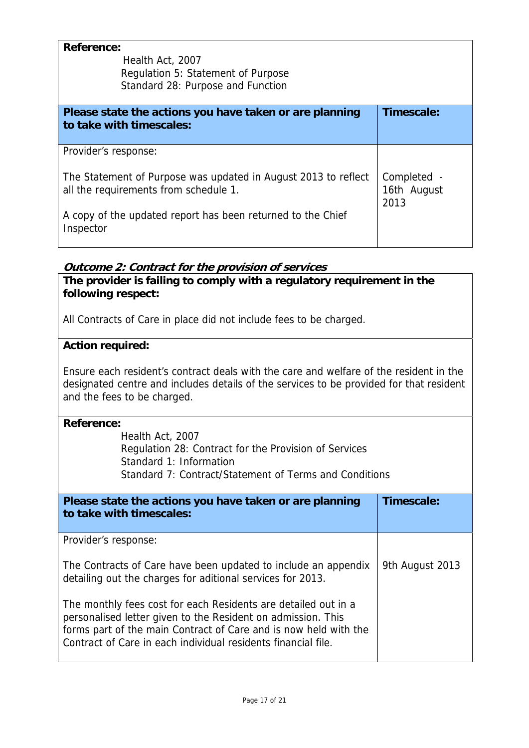| <b>Reference:</b><br>Health Act, 2007<br>Regulation 5: Statement of Purpose<br>Standard 28: Purpose and Function |                                    |
|------------------------------------------------------------------------------------------------------------------|------------------------------------|
| Please state the actions you have taken or are planning<br>to take with timescales:                              | Timescale:                         |
|                                                                                                                  |                                    |
| Provider's response:                                                                                             |                                    |
| The Statement of Purpose was updated in August 2013 to reflect<br>all the requirements from schedule 1.          | Completed -<br>16th August<br>2013 |
| A copy of the updated report has been returned to the Chief<br>Inspector                                         |                                    |

# **Outcome 2: Contract for the provision of services**

**The provider is failing to comply with a regulatory requirement in the following respect:**

All Contracts of Care in place did not include fees to be charged.

# **Action required:**

Ensure each resident's contract deals with the care and welfare of the resident in the designated centre and includes details of the services to be provided for that resident and the fees to be charged.

#### **Reference:**

Health Act, 2007 Regulation 28: Contract for the Provision of Services Standard 1: Information Standard 7: Contract/Statement of Terms and Conditions

| Please state the actions you have taken or are planning<br>to take with timescales:                                                                                                                                                                                 | Timescale:      |
|---------------------------------------------------------------------------------------------------------------------------------------------------------------------------------------------------------------------------------------------------------------------|-----------------|
| Provider's response:                                                                                                                                                                                                                                                |                 |
| The Contracts of Care have been updated to include an appendix<br>detailing out the charges for aditional services for 2013.                                                                                                                                        | 9th August 2013 |
| The monthly fees cost for each Residents are detailed out in a<br>personalised letter given to the Resident on admission. This<br>forms part of the main Contract of Care and is now held with the<br>Contract of Care in each individual residents financial file. |                 |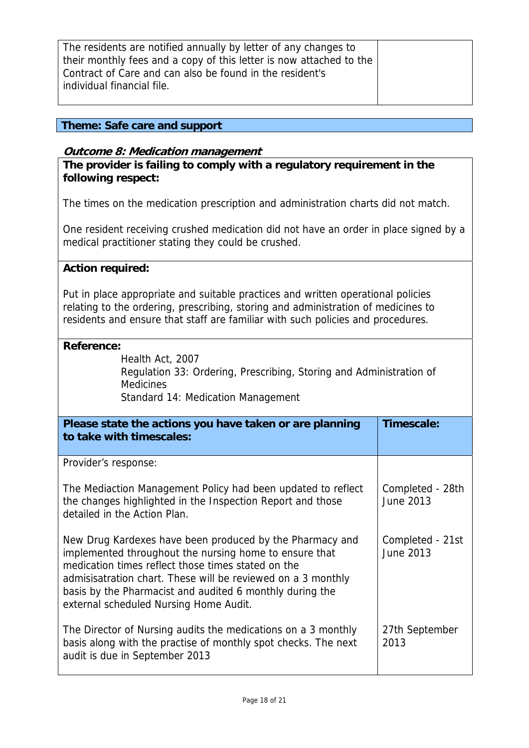| The residents are notified annually by letter of any changes to     |  |
|---------------------------------------------------------------------|--|
| their monthly fees and a copy of this letter is now attached to the |  |
| Contract of Care and can also be found in the resident's            |  |
| individual financial file.                                          |  |
|                                                                     |  |

# **Theme: Safe care and support**

#### **Outcome 8: Medication management**

**The provider is failing to comply with a regulatory requirement in the following respect:**

The times on the medication prescription and administration charts did not match.

One resident receiving crushed medication did not have an order in place signed by a medical practitioner stating they could be crushed.

#### **Action required:**

Put in place appropriate and suitable practices and written operational policies relating to the ordering, prescribing, storing and administration of medicines to residents and ensure that staff are familiar with such policies and procedures.

#### **Reference:**

Health Act, 2007 Regulation 33: Ordering, Prescribing, Storing and Administration of **Medicines** Standard 14: Medication Management

| Please state the actions you have taken or are planning<br>to take with timescales:                                                                                                                                                                                                                                                            | Timescale:                    |
|------------------------------------------------------------------------------------------------------------------------------------------------------------------------------------------------------------------------------------------------------------------------------------------------------------------------------------------------|-------------------------------|
| Provider's response:                                                                                                                                                                                                                                                                                                                           |                               |
| The Mediaction Management Policy had been updated to reflect<br>the changes highlighted in the Inspection Report and those<br>detailed in the Action Plan.                                                                                                                                                                                     | Completed - 28th<br>June 2013 |
| New Drug Kardexes have been produced by the Pharmacy and<br>implemented throughout the nursing home to ensure that<br>medication times reflect those times stated on the<br>admisisatration chart. These will be reviewed on a 3 monthly<br>basis by the Pharmacist and audited 6 monthly during the<br>external scheduled Nursing Home Audit. | Completed - 21st<br>June 2013 |
| The Director of Nursing audits the medications on a 3 monthly<br>basis along with the practise of monthly spot checks. The next<br>audit is due in September 2013                                                                                                                                                                              | 27th September<br>2013        |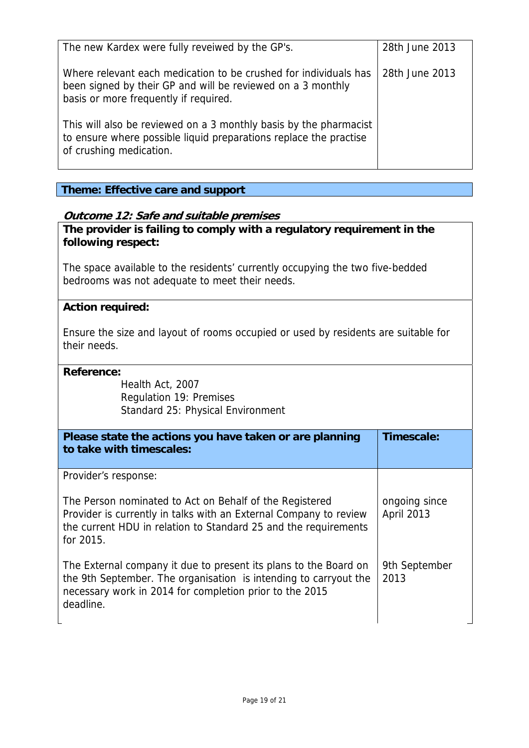| The new Kardex were fully reveiwed by the GP's.                                                                                                                          | 28th June 2013 |
|--------------------------------------------------------------------------------------------------------------------------------------------------------------------------|----------------|
| Where relevant each medication to be crushed for individuals has<br>been signed by their GP and will be reviewed on a 3 monthly<br>basis or more frequently if required. | 28th June 2013 |
| This will also be reviewed on a 3 monthly basis by the pharmacist<br>to ensure where possible liquid preparations replace the practise<br>of crushing medication.        |                |

# **Theme: Effective care and support**

# **Outcome 12: Safe and suitable premises**

**The provider is failing to comply with a regulatory requirement in the following respect:**

The space available to the residents' currently occupying the two five-bedded bedrooms was not adequate to meet their needs.

#### **Action required:**

Ensure the size and layout of rooms occupied or used by residents are suitable for their needs.

#### **Reference:**

Health Act, 2007 Regulation 19: Premises Standard 25: Physical Environment

| Please state the actions you have taken or are planning<br>to take with timescales:                                                                                                                          | Timescale:                         |
|--------------------------------------------------------------------------------------------------------------------------------------------------------------------------------------------------------------|------------------------------------|
| Provider's response:                                                                                                                                                                                         |                                    |
| The Person nominated to Act on Behalf of the Registered<br>Provider is currently in talks with an External Company to review<br>the current HDU in relation to Standard 25 and the requirements<br>for 2015. | ongoing since<br><b>April 2013</b> |
| The External company it due to present its plans to the Board on<br>the 9th September. The organisation is intending to carryout the<br>necessary work in 2014 for completion prior to the 2015<br>deadline. | 9th September<br>2013              |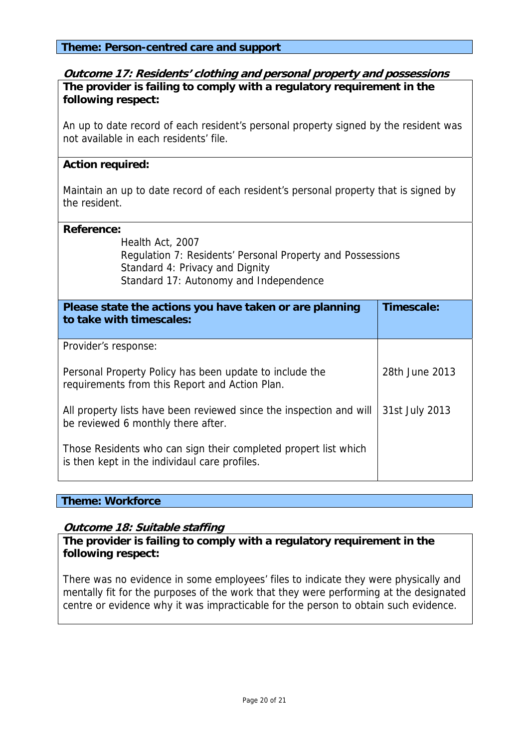#### **Theme: Person-centred care and support**

#### **Outcome 17: Residents' clothing and personal property and possessions The provider is failing to comply with a regulatory requirement in the following respect:**

An up to date record of each resident's personal property signed by the resident was not available in each residents' file.

#### **Action required:**

Maintain an up to date record of each resident's personal property that is signed by the resident.

#### **Reference:**

Health Act, 2007

Regulation 7: Residents' Personal Property and Possessions Standard 4: Privacy and Dignity Standard 17: Autonomy and Independence

| Please state the actions you have taken or are planning<br>to take with timescales:                              | Timescale:     |
|------------------------------------------------------------------------------------------------------------------|----------------|
| Provider's response:                                                                                             |                |
| Personal Property Policy has been update to include the<br>requirements from this Report and Action Plan.        | 28th June 2013 |
| All property lists have been reviewed since the inspection and will<br>be reviewed 6 monthly there after.        | 31st July 2013 |
| Those Residents who can sign their completed propert list which<br>is then kept in the individaul care profiles. |                |

#### **Theme: Workforce**

#### **Outcome 18: Suitable staffing**

**The provider is failing to comply with a regulatory requirement in the following respect:**

There was no evidence in some employees' files to indicate they were physically and mentally fit for the purposes of the work that they were performing at the designated centre or evidence why it was impracticable for the person to obtain such evidence.